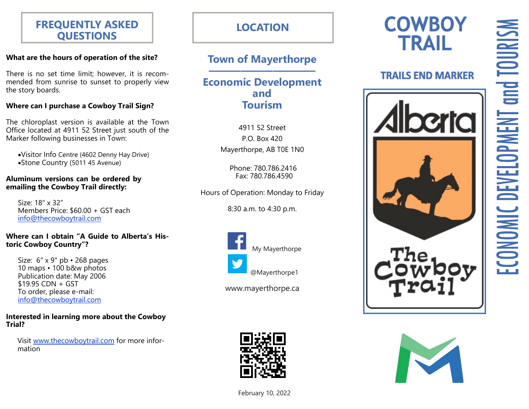### **FREQUENTLY ASKED QUESTIONS**

### **What are the hours of operation of the site?**

There is no set time limit; however, it is recommended from sunrise to sunset to properly view the story boards.

### **Where can I purchase a Cowboy Trail Sign?**

The chloroplast version is available at the Town Office located at 4911 52 Street just south of the Marker following businesses in Town:

Visitor Info Centre (4602 Denny Hay Drive) Stone Country (5011 45 Avenue)

#### **Aluminum versions can be ordered by emailing the Cowboy Trail directly:**

Size: 18" x 32" Members Price: \$60.00 + GST each info@thecowboytrail.com

### **Where can I obtain "A Guide to Alberta's Historic Cowboy Country"?**

Size: 6" x 9" pb • 268 pages 10 maps • 100 b&w photos Publication date: May 2006  $$19.95$  CDN + GST To order, please e-mail: info@thecowboytrail.com

#### **Interested in learning more about the Cowboy Trial?**

Visit www.thecowboytrail.com for more information

### **LOCATION**

## **Town of Mayerthorpe**

**——————————** 

### **Economic Development and Tourism**

4911 52 Street P.O. Box 420 Mayerthorpe, AB T0E 1N0

 Phone: 780.786.2416 Fax: 780.786.4590

Hours of Operation: Monday to Friday

8:30 a.m. to 4:30 p.m.



My Mayerthorpe

@Mayerthorpe1

www.mayerthorpe.ca



### **TRAILS END MARKER**